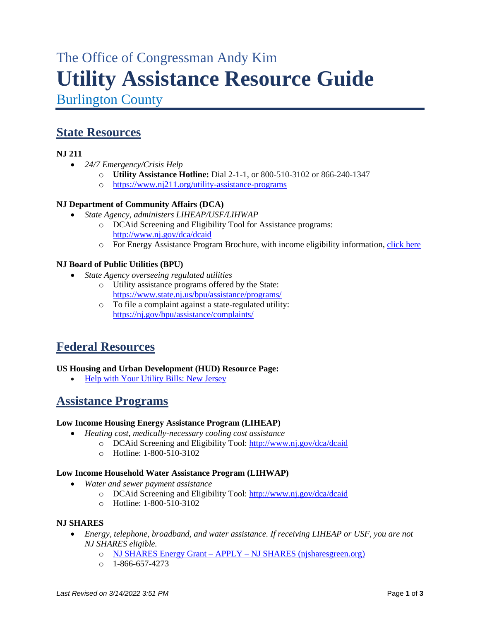# The Office of Congressman Andy Kim **Utility Assistance Resource Guide**

Burlington County

# **State Resources**

# **NJ 211**

- *24/7 Emergency/Crisis Help*
	- o **Utility Assistance Hotline:** Dial 2-1-1, or 800-510-3102 or 866-240-1347
	- o <https://www.nj211.org/utility-assistance-programs>

### **NJ Department of Community Affairs (DCA)**

- *State Agency, administers LIHEAP/USF/LIHWAP*
	- o DCAid Screening and Eligibility Tool for Assistance programs: <http://www.nj.gov/dca/dcaid>
	- o For Energy Assistance Program Brochure, with income eligibility information, [click here](https://www.state.nj.us/bpu/pdf/custassistance/2022_Energy%20Assistance_English.pdf)

### **NJ Board of Public Utilities (BPU)**

- *State Agency overseeing regulated utilities*
	- o Utility assistance programs offered by the State: <https://www.state.nj.us/bpu/assistance/programs/>
	- o To file a complaint against a state-regulated utility: <https://nj.gov/bpu/assistance/complaints/>

# **Federal Resources**

### **US Housing and Urban Development (HUD) Resource Page:**

• [Help with Your Utility Bills: New Jersey](https://www.hud.gov/states/new_jersey/renting/energyprgms)

# **Assistance Programs**

### **Low Income Housing Energy Assistance Program (LIHEAP)**

- *Heating cost, medically-necessary cooling cost assistance*
	- o DCAid Screening and Eligibility Tool:<http://www.nj.gov/dca/dcaid>
	- o Hotline: 1-800-510-3102

### **Low Income Household Water Assistance Program (LIHWAP)**

- *Water and sewer payment assistance*
	- o DCAid Screening and Eligibility Tool:<http://www.nj.gov/dca/dcaid>
	- o Hotline: 1-800-510-3102

#### **NJ SHARES**

- *Energy, telephone, broadband, and water assistance. If receiving LIHEAP or USF, you are not NJ SHARES eligible.*
	- o NJ SHARES Energy Grant APPLY [NJ SHARES \(njsharesgreen.org\)](https://njsharesgreen.org/nj-shares-energy-grant-apply/)
	- $O = 1 866 657 4273$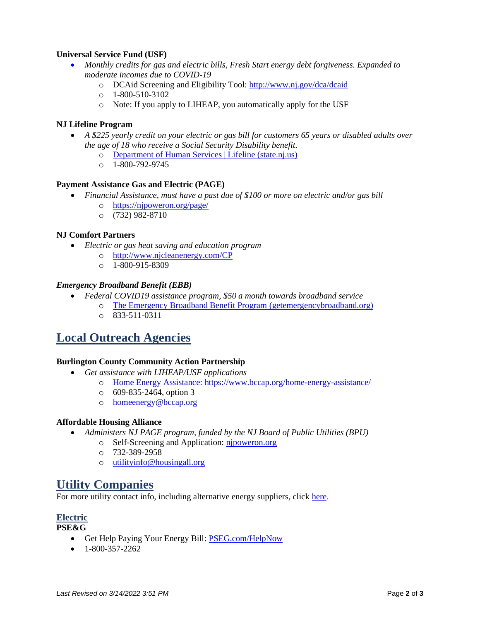#### **Universal Service Fund (USF)**

- *Monthly credits for gas and electric bills, Fresh Start energy debt forgiveness. Expanded to moderate incomes due to COVID-19*
	- o DCAid Screening and Eligibility Tool:<http://www.nj.gov/dca/dcaid>
	- o 1-800-510-3102
	- o Note: If you apply to LIHEAP, you automatically apply for the USF

#### **NJ Lifeline Program**

- *A \$225 yearly credit on your electric or gas bill for customers 65 years or disabled adults over the age of 18 who receive a Social Security Disability benefit.* 
	- o Department [of Human Services | Lifeline \(state.nj.us\)](https://www.state.nj.us/humanservices/doas/home/lifelinedetail.html)
	- o 1-800-792-9745

#### **Payment Assistance Gas and Electric (PAGE)**

- *Financial Assistance, must have a past due of \$100 or more on electric and/or gas bill*
	- o <https://njpoweron.org/page/>
	- o (732) 982-8710

#### **NJ Comfort Partners**

- *Electric or gas heat saving and education program*
	- o <http://www.njcleanenergy.com/CP>
	- $O = 1 800 915 8309$

#### *Emergency Broadband Benefit (EBB)*

- *Federal COVID19 assistance program, \$50 a month towards broadband service*
	- o [The Emergency Broadband Benefit Program \(getemergencybroadband.org\)](https://getemergencybroadband.org/)
	- o 833-511-0311

# **Local Outreach Agencies**

#### **Burlington County Community Action Partnership**

- *Get assistance with LIHEAP/USF applications*
	- o [Home Energy Assistance: https://www.bccap.org/home-energy-assistance/](https://www.bccap.org/home-energy-assistance/)
		- o 609-835-2464, option 3
		- o [homeenergy@bccap.org](mailto:homeenergy@bccap.org)

#### **Affordable Housing Alliance**

- *Administers NJ PAGE program, funded by the NJ Board of Public Utilities (BPU)*
	- o Self-Screening and Application: [njpoweron.org](https://njpoweron.org/)
	- o 732-389-2958
	- o [utilityinfo@housingall.org](mailto:utilityinfo@housingall.org)

# **Utility Companies**

For more utility contact info, including alternative energy suppliers, click [here.](https://www.state.nj.us/bpu/assistance/utility/)

### **Electric**

#### **PSE&G**

- Get Help Paying Your Energy Bill: [PSEG.com/HelpNow](https://urldefense.com/v3/__http:/www.pseg.com/HelpNow__;!!Bg5easoyC-OII2vlEqY8mTBrtW-N4OJKAQ!cO94NU_Fi_gqtT54H9z10bq8rlNdrW9qOHTzwquKceYQ-urDoabXxWcGXX64_gSxWoSi_WuQKWvT$)
- $\bullet$  1-800-357-2262